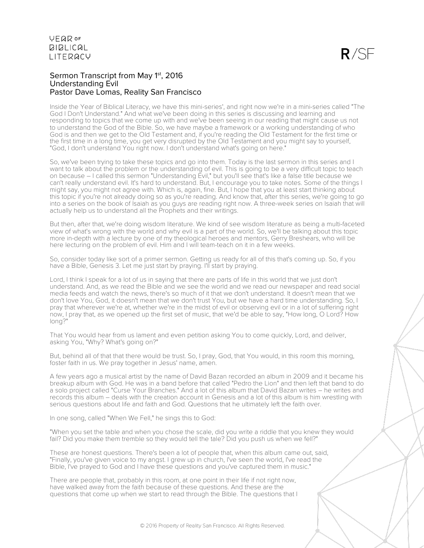#### Sermon Transcript from May 1st, 2016 Understanding Evil Pastor Dave Lomas, Reality San Francisco

Inside the Year of Biblical Literacy, we have this mini-series', and right now we're in a mini-series called "The God I Don't Understand." And what we've been doing in this series is discussing and learning and responding to topics that we come up with and we've been seeing in our reading that might cause us not to understand the God of the Bible. So, we have maybe a framework or a working understanding of who God is and then we get to the Old Testament and, if you're reading the Old Testament for the first time or the first time in a long time, you get very disrupted by the Old Testament and you might say to yourself, "God, I don't understand You right now. I don't understand what's going on here."

So, we've been trying to take these topics and go into them. Today is the last sermon in this series and I want to talk about the problem or the understanding of evil. This is going to be a very difficult topic to teach on because – I called this sermon "Understanding Evil," but you'll see that's like a false title because we can't really understand evil. It's hard to understand. But, I encourage you to take notes. Some of the things I might say, you might not agree with. Which is, again, fine. But, I hope that you at least start thinking about this topic if you're not already doing so as you're reading. And know that, after this series, we're going to go into a series on the book of Isaiah as you guys are reading right now. A three-week series on Isaiah that will actually help us to understand all the Prophets and their writings.

But then, after that, we're doing wisdom literature. We kind of see wisdom literature as being a multi-faceted view of what's wrong with the world and why evil is a part of the world. So, we'll be talking about this topic more in-depth with a lecture by one of my theological heroes and mentors, Gerry Breshears, who will be here lecturing on the problem of evil. Him and I will team-teach on it in a few weeks.

So, consider today like sort of a primer sermon. Getting us ready for all of this that's coming up. So, if you have a Bible, Genesis 3. Let me just start by praying. I'll start by praying.

Lord, I think I speak for a lot of us in saying that there are parts of life in this world that we just don't understand. And, as we read the Bible and we see the world and we read our newspaper and read social media feeds and watch the news, there's so much of it that we don't understand. It doesn't mean that we don't love You, God, it doesn't mean that we don't trust You, but we have a hard time understanding. So, I pray that wherever we're at, whether we're in the midst of evil or observing evil or in a lot of suffering right now, I pray that, as we opened up the first set of music, that we'd be able to say, "How long, O Lord? How long?"

That You would hear from us lament and even petition asking You to come quickly, Lord, and deliver, asking You, "Why? What's going on?"

But, behind all of that that there would be trust. So, I pray, God, that You would, in this room this morning, foster faith in us. We pray together in Jesus' name, amen.

A few years ago a musical artist by the name of David Bazan recorded an album in 2009 and it became his breakup album with God. He was in a band before that called "Pedro the Lion" and then left that band to do a solo project called "Curse Your Branches." And a lot of this album that David Bazan writes – he writes and records this album – deals with the creation account in Genesis and a lot of this album is him wrestling with serious questions about life and faith and God. Questions that he ultimately left the faith over.

In one song, called "When We Fell," he sings this to God:

"When you set the table and when you chose the scale, did you write a riddle that you knew they would fail? Did you make them tremble so they would tell the tale? Did you push us when we fell?"

These are honest questions. There's been a lot of people that, when this album came out, said, "Finally, you've given voice to my angst. I grew up in church, I've seen the world, I've read the Bible, I've prayed to God and I have these questions and you've captured them in music."

There are people that, probably in this room, at one point in their life if not right now, have walked away from the faith because of these questions. And these are the questions that come up when we start to read through the Bible. The questions that I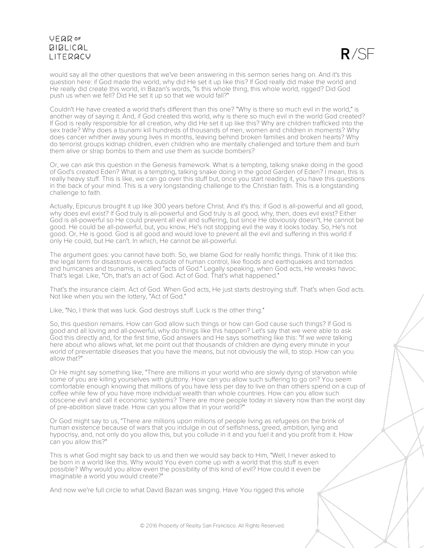$R/SE$ 

would say all the other questions that we've been answering in this sermon series hang on. And it's this question here: if God made the world, why did He set it up like this? If God really did make the world and He really did create this world, in Bazan's words, "Is this whole thing, this whole world, rigged? Did God push us when we fell? Did He set it up so that we would fall?"

Couldn't He have created a world that's different than this one? "Why is there so much evil in the world," is another way of saying it. And, if God created this world, why is there so much evil in the world God created? If God is really responsible for all creation, why did He set it up like this? Why are children trafficked into the sex trade? Why does a tsunami kill hundreds of thousands of men, women and children in moments? Why does cancer whither away young lives in months, leaving behind broken families and broken hearts? Why do terrorist groups kidnap children, even children who are mentally challenged and torture them and burn them alive or strap bombs to them and use them as suicide bombers?

Or, we can ask this question in the Genesis framework. What is a tempting, talking snake doing in the good of God's created Eden? What is a tempting, talking snake doing in the good Garden of Eden? I mean, this is really heavy stuff. This is like, we can go over this stuff but, once you start reading it, you have this questions in the back of your mind. This is a very longstanding challenge to the Christian faith. This is a longstanding challenge to faith.

Actually, Epicurus brought it up like 300 years before Christ. And it's this: if God is all-powerful and all good, why does evil exist? If God truly is all-powerful and God truly is all good, why, then, does evil exist? Either God is all-powerful so He could prevent all evil and suffering, but since He obviously doesn't, He cannot be good. He could be all-powerful, but, you know, He's not stopping evil the way it looks today. So, He's not good. Or, He is good. God is all good and would love to prevent all the evil and suffering in this world if only He could, but He can't. In which, He cannot be all-powerful.

The argument goes: you cannot have both. So, we blame God for really horrific things. Think of it like this: the legal term for disastrous events outside of human control, like floods and earthquakes and tornados and hurricanes and tsunamis, is called "acts of God." Legally speaking, when God acts, He wreaks havoc. That's legal. Like, "Oh, that's an act of God. Act of God. That's what happened."

That's the insurance claim. Act of God. When God acts, He just starts destroying stuff. That's when God acts. Not like when you win the lottery, "Act of God."

Like, "No, I think that was luck. God destroys stuff. Luck is the other thing."

So, this question remains. How can God allow such things or how can God cause such things? If God is good and all loving and all-powerful, why do things like this happen? Let's say that we were able to ask God this directly and, for the first time, God answers and He says something like this: "If we were talking here about who allows what, let me point out that thousands of children are dying every minute in your world of preventable diseases that you have the means, but not obviously the will, to stop. How can you allow that?"

Or He might say something like, "There are millions in your world who are slowly dying of starvation while some of you are killing yourselves with gluttony. How can you allow such suffering to go on? You seem comfortable enough knowing that millions of you have less per day to live on than others spend on a cup of coffee while few of you have more individual wealth than whole countries. How can you allow such obscene evil and call it economic systems? There are more people today in slavery now than the worst day of pre-abolition slave trade. How can you allow that in your world?"

Or God might say to us, "There are millions upon millions of people living as refugees on the brink of human existence because of wars that you indulge in out of selfishness, greed, ambition, lying and hypocrisy, and, not only do you allow this, but you collude in it and you fuel it and you profit from it. How can you allow this?"

This is what God might say back to us and then we would say back to Him, "Well, I never asked to be born in a world like this. Why would You even come up with a world that this stuff is even possible? Why would you allow even the possibility of this kind of evil? How could it even be imaginable a world you would create?"

And now we're full circle to what David Bazan was singing. Have You rigged this whole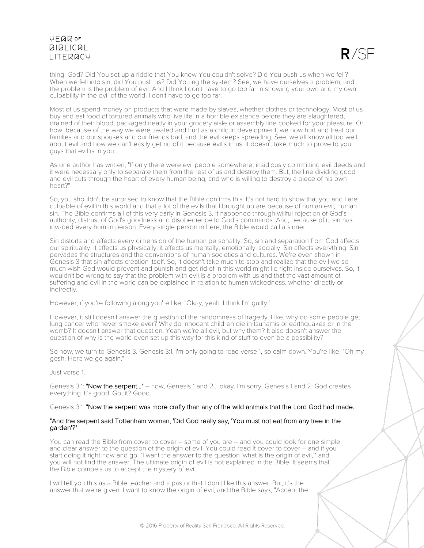$R/SE$ 

thing, God? Did You set up a riddle that You knew You couldn't solve? Did You push us when we fell? When we fell into sin, did You push us? Did You rig the system? See, we have ourselves a problem, and the problem is the problem of evil. And I think I don't have to go too far in showing your own and my own culpability in the evil of the world. I don't have to go too far.

Most of us spend money on products that were made by slaves, whether clothes or technology. Most of us buy and eat food of tortured animals who live life in a horrible existence before they are slaughtered, drained of their blood, packaged neatly in your grocery aisle or assembly line cooked for your pleasure. Or how, because of the way we were treated and hurt as a child in development, we now hurt and treat our families and our spouses and our friends bad, and the evil keeps spreading. See, we all know all too well about evil and how we can't easily get rid of it because evil's in us. It doesn't take much to prove to you guys that evil is in you.

As one author has written, "If only there were evil people somewhere, insidiously committing evil deeds and it were necessary only to separate them from the rest of us and destroy them. But, the line dividing good and evil cuts through the heart of every human being, and who is willing to destroy a piece of his own heart?"

So, you shouldn't be surprised to know that the Bible confirms this. It's not hard to show that you and I are culpable of evil in this world and that a lot of the evils that I brought up are because of human evil; human sin. The Bible confirms all of this very early in Genesis 3. It happened through willful rejection of God's authority, distrust of God's goodness and disobedience to God's commands. And, because of it, sin has invaded every human person. Every single person in here, the Bible would call a sinner.

Sin distorts and affects every dimension of the human personality. So, sin and separation from God affects our spirituality. It affects us physically, it affects us mentally, emotionally, socially. Sin affects everything. Sin pervades the structures and the conventions of human societies and cultures. We're even shown in Genesis 3 that sin affects creation itself. So, it doesn't take much to stop and realize that the evil we so much wish God would prevent and punish and get rid of in this world might lie right inside ourselves. So, it wouldn't be wrong to say that the problem with evil is a problem with us and that the vast amount of suffering and evil in the world can be explained in relation to human wickedness, whether directly or indirectly.

However, if you're following along you're like, "Okay, yeah. I think I'm guilty."

However, it still doesn't answer the question of the randomness of tragedy. Like, why do some people get lung cancer who never smoke ever? Why do innocent children die in tsunamis or earthquakes or in the womb? It doesn't answer that question. Yeah we're all evil, but why them? It also doesn't answer the question of why is the world even set up this way for this kind of stuff to even be a possibility?

So now, we turn to Genesis 3. Genesis 3:1. I'm only going to read verse 1, so calm down. You're like, "Oh my gosh. Here we go again."

Just verse 1.

Genesis 3:1: "Now the serpent..." – now, Genesis 1 and 2... okay. I'm sorry. Genesis 1 and 2, God creates everything. It's good. Got it? Good.

#### Genesis 3:1: "Now the serpent was more crafty than any of the wild animals that the Lord God had made.

#### "And the serpent said Tottenham woman, 'Did God really say, 'You must not eat from any tree in the garden'?"

You can read the Bible from cover to cover – some of you are – and you could look for one simple and clear answer to the question of the origin of evil. You could read it cover to cover – and if you start doing it right now and go, "I want the answer to the question 'what is the origin of evil,'" and you will not find the answer. The ultimate origin of evil is not explained in the Bible. It seems that the Bible compels us to accept the mystery of evil.

I will tell you this as a Bible teacher and a pastor that I don't like this answer. But, it's the answer that we're given. I want to know the origin of evil, and the Bible says, "Accept the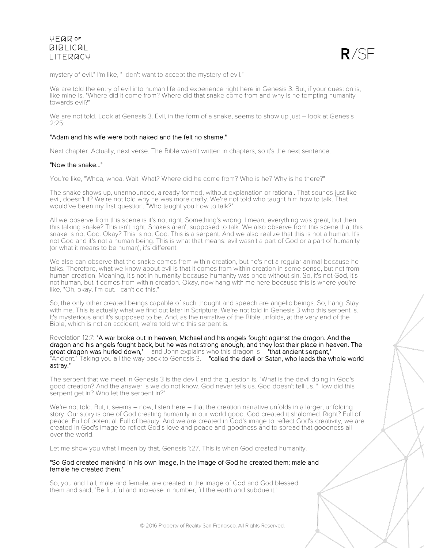

mystery of evil." I'm like, "I don't want to accept the mystery of evil."

We are told the entry of evil into human life and experience right here in Genesis 3. But, if your question is, like mine is, "Where did it come from? Where did that snake come from and why is he tempting humanity towards evil?"

We are not told. Look at Genesis 3. Evil, in the form of a snake, seems to show up just – look at Genesis 2:25:

#### "Adam and his wife were both naked and the felt no shame."

Next chapter. Actually, next verse. The Bible wasn't written in chapters, so it's the next sentence.

#### "Now the snake..."

You're like, "Whoa, whoa. Wait. What? Where did he come from? Who is he? Why is he there?"

The snake shows up, unannounced, already formed, without explanation or rational. That sounds just like evil, doesn't it? We're not told why he was more crafty. We're not told who taught him how to talk. That would've been my first question. "Who taught you how to talk?"

All we observe from this scene is it's not right. Something's wrong. I mean, everything was great, but then this talking snake? This isn't right. Snakes aren't supposed to talk. We also observe from this scene that this snake is not God. Okay? This is not God. This is a serpent. And we also realize that this is not a human. It's not God and it's not a human being. This is what that means: evil wasn't a part of God or a part of humanity (or what it means to be human), it's different.

We also can observe that the snake comes from within creation, but he's not a regular animal because he talks. Therefore, what we know about evil is that it comes from within creation in some sense, but not from human creation. Meaning, it's not in humanity because humanity was once without sin. So, it's not God, it's not human, but it comes from within creation. Okay, now hang with me here because this is where you're like, "Oh, okay. I'm out. I can't do this."

So, the only other created beings capable of such thought and speech are angelic beings. So, hang. Stay with me. This is actually what we find out later in Scripture. We're not told in Genesis 3 who this serpent is. It's mysterious and it's supposed to be. And, as the narrative of the Bible unfolds, at the very end of the Bible, which is not an accident, we're told who this serpent is.

Revelation 12:7: "A war broke out in heaven, Michael and his angels fought against the dragon. And the dragon and his angels fought back, but he was not strong enough, and they lost their place in heaven. The great dragon was hurled down," – and John explains who this dragon is – "that ancient serpent," -"Ancient." Taking you all the way back to Genesis 3. – "called the devil or Satan, who leads the whole world astray."

The serpent that we meet in Genesis 3 is the devil, and the question is, "What is the devil doing in God's good creation? And the answer is we do not know. God never tells us. God doesn't tell us. "How did this serpent get in? Who let the serpent in?"

We're not told. But, it seems – now, listen here – that the creation narrative unfolds in a larger, unfolding story. Our story is one of God creating humanity in our world good. God created it shalomed. Right? Full of peace. Full of potential. Full of beauty. And we are created in God's image to reflect God's creativity, we are created in God's image to reflect God's love and peace and goodness and to spread that goodness all over the world.

Let me show you what I mean by that. Genesis 1:27. This is when God created humanity.

#### "So God created mankind in his own image, in the image of God he created them; male and female he created them."

So, you and I all, male and female, are created in the image of God and God blessed them and said, "Be fruitful and increase in number, fill the earth and subdue it."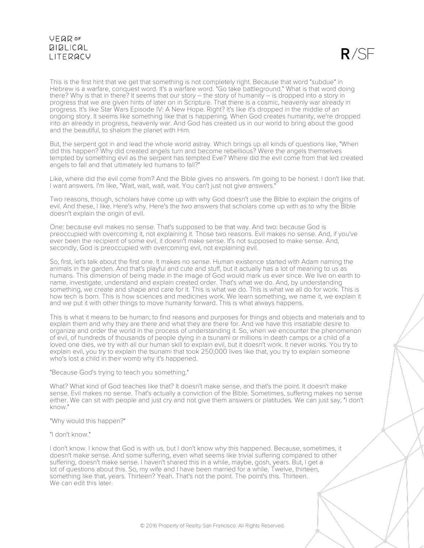

This is the first hint that we get that something is not completely right. Because that word "subdue" in Hebrew is a warfare, conquest word. It's a warfare word. "Go take battleground." What is that word doing there? Why is that in there? It seems that our story – the story of humanity – is dropped into a story in progress that we are given hints of later on in Scripture. That there is a cosmic, heavenly war already in progress. It's like Star Wars Episode IV: A New Hope. Right? It's like it's dropped in the middle of an ongoing story. It seems like something like that is happening. When God creates humanity, we're dropped into an already in progress, heavenly war. And God has created us in our world to bring about the good and the beautiful, to shalom the planet with Him.

But, the serpent got in and lead the whole world astray. Which brings up all kinds of questions like, "When did this happen? Why did created angels turn and become rebellious? Were the angels themselves tempted by something evil as the serpent has tempted Eve? Where did the evil come from that led created angels to fall and that ultimately led humans to fall?"

Like, where did the evil come from? And the Bible gives no answers. I'm going to be honest. I don't like that. I want answers. I'm like, "Wait, wait, wait, wait. You can't just not give answers."

Two reasons, though, scholars have come up with why God doesn't use the Bible to explain the origins of evil. And these, I like. Here's why. Here's the two answers that scholars come up with as to why the Bible doesn't explain the origin of evil.

One: because evil makes no sense. That's supposed to be that way. And two: because God is preoccupied with overcoming it, not explaining it. Those two reasons. Evil makes no sense. And, if you've ever been the recipient of some evil, it doesn't make sense. It's not supposed to make sense. And, secondly, God is preoccupied with overcoming evil, not explaining evil.

So, first, let's talk about the first one. It makes no sense. Human existence started with Adam naming the animals in the garden. And that's playful and cute and stuff, but it actually has a lot of meaning to us as humans. This dimension of being made in the image of God would mark us ever since. We live on earth to name, investigate, understand and explain created order. That's what we do. And, by understanding something, we create and shape and care for it. This is what we do. This is what we all do for work. This is how tech is born. This is how sciences and medicines work. We learn something, we name it, we explain it and we put it with other things to move humanity forward. This is what always happens.

This is what it means to be human; to find reasons and purposes for things and objects and materials and to explain them and why they are there and what they are there for. And we have this insatiable desire to organize and order the world in the process of understanding it. So, when we encounter the phenomenon of evil, of hundreds of thousands of people dying in a tsunami or millions in death camps or a child of a loved one dies, we try with all our human skill to explain evil, but it doesn't work. It never works. You try to explain evil, you try to explain the tsunami that took 250,000 lives like that, you try to explain someone who's lost a child in their womb why it's happened.

"Because God's trying to teach you something."

What? What kind of God teaches like that? It doesn't make sense, and that's the point. It doesn't make sense. Evil makes no sense. That's actually a conviction of the Bible. Sometimes, suffering makes no sense either. We can sit with people and just cry and not give them answers or platitudes. We can just say, "I don't know."

"Why would this happen?"

"I don't know."

I don't know. I know that God is with us, but I don't know why this happened. Because, sometimes, it doesn't make sense. And some suffering, even what seems like trivial suffering compared to other suffering, doesn't make sense. I haven't shared this in a while, maybe, gosh, years. But, I get a lot of questions about this. So, my wife and I have been married for a while. Twelve, thirteen, something like that, years. Thirteen? Yeah. That's not the point. The point's this. Thirteen. We can edit this later.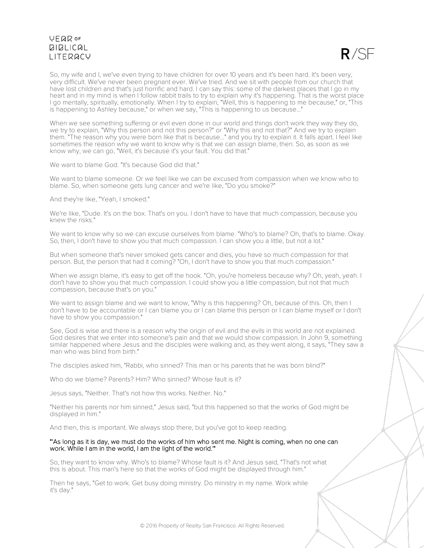$R/SF$ 

So, my wife and I, we've even trying to have children for over 10 years and it's been hard. It's been very, very difficult. We've never been pregnant ever. We've tried. And we sit with people from our church that have lost children and that's just horrific and hard. I can say this: some of the darkest places that I go in my heart and in my mind is when I follow rabbit trails to try to explain why it's happening. That is the worst place I go mentally, spiritually, emotionally. When I try to explain, "Well, this is happening to me because," or, "This is happening to Ashley because," or when we say, "This is happening to us because..."

When we see something suffering or evil even done in our world and things don't work they way they do, we try to explain, "Why this person and not this person?" or "Why this and not that?" And we try to explain them. "The reason why you were born like that is because..." and you try to explain it. It falls apart. I feel like sometimes the reason why we want to know why is that we can assign blame, then. So, as soon as we know why, we can go, "Well, it's because it's your fault. You did that."

We want to blame God. "It's because God did that."

We want to blame someone. Or we feel like we can be excused from compassion when we know who to blame. So, when someone gets lung cancer and we're like, "Do you smoke?"

And they're like, "Yeah, I smoked."

We're like, "Dude. It's on the box. That's on you. I don't have to have that much compassion, because you knew the risks."

We want to know why so we can excuse ourselves from blame. "Who's to blame? Oh, that's to blame. Okay. So, then, I don't have to show you that much compassion. I can show you a little, but not a lot."

But when someone that's never smoked gets cancer and dies, you have so much compassion for that person. But, the person that had it coming? "Oh, I don't have to show you that much compassion."

When we assign blame, it's easy to get off the hook. "Oh, you're homeless because why? Oh, yeah, yeah, I don't have to show you that much compassion. I could show you a little compassion, but not that much compassion, because that's on you."

We want to assign blame and we want to know, "Why is this happening? Oh, because of this. Oh, then I don't have to be accountable or I can blame you or I can blame this person or I can blame myself or I don't have to show you compassion."

See, God is wise and there is a reason why the origin of evil and the evils in this world are not explained. God desires that we enter into someone's pain and that we would show compassion. In John 9, something similar happened where Jesus and the disciples were walking and, as they went along, it says, "They saw a man who was blind from birth."

The disciples asked him, "Rabbi, who sinned? This man or his parents that he was born blind?"

Who do we blame? Parents? Him? Who sinned? Whose fault is it?

Jesus says, "Neither. That's not how this works. Neither. No."

"Neither his parents nor him sinned," Jesus said, "but this happened so that the works of God might be displayed in him."

And then, this is important. We always stop there, but you've got to keep reading.

#### "'As long as it is day, we must do the works of him who sent me. Night is coming, when no one can work. While I am in the world, I am the light of the world.'"

So, they want to know why. Who's to blame? Whose fault is it? And Jesus said, "That's not what this is about. This man's here so that the works of God might be displayed through him."

Then he says, "Get to work. Get busy doing ministry. Do ministry in my name. Work while it's day."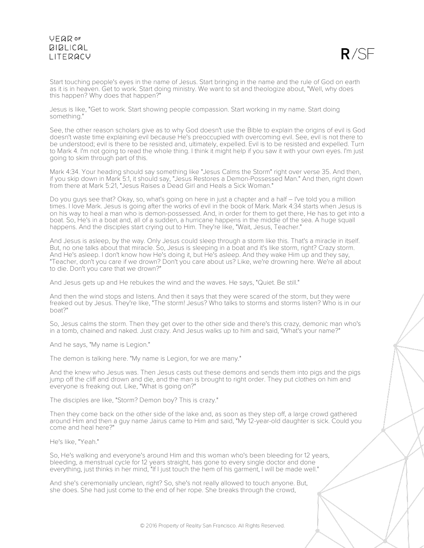

Start touching people's eyes in the name of Jesus. Start bringing in the name and the rule of God on earth as it is in heaven. Get to work. Start doing ministry. We want to sit and theologize about, "Well, why does this happen? Why does that happen?"

Jesus is like, "Get to work. Start showing people compassion. Start working in my name. Start doing something."

See, the other reason scholars give as to why God doesn't use the Bible to explain the origins of evil is God doesn't waste time explaining evil because He's preoccupied with overcoming evil. See, evil is not there to be understood; evil is there to be resisted and, ultimately, expelled. Evil is to be resisted and expelled. Turn to Mark 4. I'm not going to read the whole thing. I think it might help if you saw it with your own eyes. I'm just going to skim through part of this.

Mark 4:34. Your heading should say something like "Jesus Calms the Storm" right over verse 35. And then, if you skip down in Mark 5:1, it should say, "Jesus Restores a Demon-Possessed Man." And then, right down from there at Mark 5:21, "Jesus Raises a Dead Girl and Heals a Sick Woman."

Do you guys see that? Okay, so, what's going on here in just a chapter and a half – I've told you a million times. I love Mark. Jesus is going after the works of evil in the book of Mark. Mark 4:34 starts when Jesus is on his way to heal a man who is demon-possessed. And, in order for them to get there, He has to get into a boat. So, He's in a boat and, all of a sudden, a hurricane happens in the middle of the sea. A huge squall happens. And the disciples start crying out to Him. They're like, "Wait, Jesus, Teacher."

And Jesus is asleep, by the way. Only Jesus could sleep through a storm like this. That's a miracle in itself. But, no one talks about that miracle. So, Jesus is sleeping in a boat and it's like storm, right? Crazy storm. And He's asleep. I don't know how He's doing it, but He's asleep. And they wake Him up and they say, "Teacher, don't you care if we drown? Don't you care about us? Like, we're drowning here. We're all about to die. Don't you care that we drown?"

And Jesus gets up and He rebukes the wind and the waves. He says, "Quiet. Be still."

And then the wind stops and listens. And then it says that they were scared of the storm, but they were freaked out by Jesus. They're like, "The storm! Jesus? Who talks to storms and storms listen? Who is in our boat?"

So, Jesus calms the storm. Then they get over to the other side and there's this crazy, demonic man who's in a tomb, chained and naked. Just crazy. And Jesus walks up to him and said, "What's your name?"

And he says, "My name is Legion."

The demon is talking here. "My name is Legion, for we are many."

And the knew who Jesus was. Then Jesus casts out these demons and sends them into pigs and the pigs jump off the cliff and drown and die, and the man is brought to right order. They put clothes on him and everyone is freaking out. Like, "What is going on?"

The disciples are like, "Storm? Demon boy? This is crazy."

Then they come back on the other side of the lake and, as soon as they step off, a large crowd gathered around Him and then a guy name Jairus came to Him and said, "My 12-year-old daughter is sick. Could you come and heal here?"

He's like, "Yeah."

So, He's walking and everyone's around Him and this woman who's been bleeding for 12 years, bleeding, a menstrual cycle for 12 years straight, has gone to every single doctor and done everything, just thinks in her mind, "If I just touch the hem of his garment, I will be made well."

And she's ceremonially unclean, right? So, she's not really allowed to touch anyone. But, she does. She had just come to the end of her rope. She breaks through the crowd,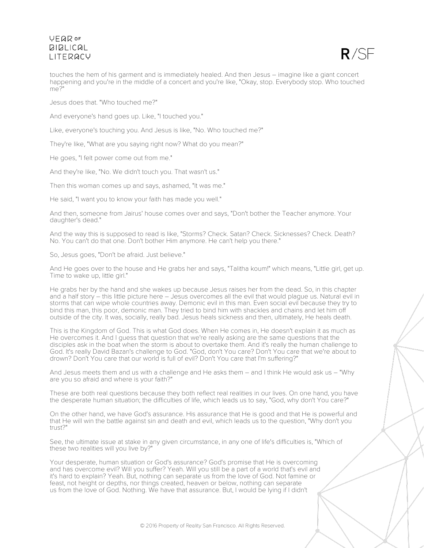

touches the hem of his garment and is immediately healed. And then Jesus – imagine like a giant concert happening and you're in the middle of a concert and you're like, "Okay, stop. Everybody stop. Who touched  $m<sup>2</sup>$ 

Jesus does that. "Who touched me?"

And everyone's hand goes up. Like, "I touched you."

Like, everyone's touching you. And Jesus is like, "No. Who touched me?"

They're like, "What are you saying right now? What do you mean?"

He goes, "I felt power come out from me."

And they're like, "No. We didn't touch you. That wasn't us."

Then this woman comes up and says, ashamed, "It was me."

He said, "I want you to know your faith has made you well."

And then, someone from Jairus' house comes over and says, "Don't bother the Teacher anymore. Your daughter's dead."

And the way this is supposed to read is like, "Storms? Check. Satan? Check. Sicknesses? Check. Death? No. You can't do that one. Don't bother Him anymore. He can't help you there."

So, Jesus goes, "Don't be afraid. Just believe."

And He goes over to the house and He grabs her and says, "Talitha koum!" which means, "Little girl, get up. Time to wake up, little girl."

He grabs her by the hand and she wakes up because Jesus raises her from the dead. So, in this chapter and a half story – this little picture here – Jesus overcomes all the evil that would plague us. Natural evil in storms that can wipe whole countries away. Demonic evil in this man. Even social evil because they try to bind this man, this poor, demonic man. They tried to bind him with shackles and chains and let him off outside of the city. It was, socially, really bad. Jesus heals sickness and then, ultimately, He heals death.

This is the Kingdom of God. This is what God does. When He comes in, He doesn't explain it as much as He overcomes it. And I guess that question that we're really asking are the same questions that the disciples ask in the boat when the storm is about to overtake them. And it's really the human challenge to God. It's really David Bazan's challenge to God. "God, don't You care? Don't You care that we're about to drown? Don't You care that our world is full of evil? Don't You care that I'm suffering?"

And Jesus meets them and us with a challenge and He asks them – and I think He would ask us – "Why are you so afraid and where is your faith?"

These are both real questions because they both reflect real realities in our lives. On one hand, you have the desperate human situation; the difficulties of life, which leads us to say, "God, why don't You care?"

On the other hand, we have God's assurance. His assurance that He is good and that He is powerful and that He will win the battle against sin and death and evil, which leads us to the question, "Why don't you trust?"

See, the ultimate issue at stake in any given circumstance, in any one of life's difficulties is, "Which of these two realities will you live by?"

Your desperate, human situation or God's assurance? God's promise that He is overcoming and has overcome evil? Will you suffer? Yeah. Will you still be a part of a world that's evil and it's hard to explain? Yeah. But, nothing can separate us from the love of God. Not famine or feast, not height or depths, nor things created, heaven or below, nothing can separate us from the love of God. Nothing. We have that assurance. But, I would be lying if I didn't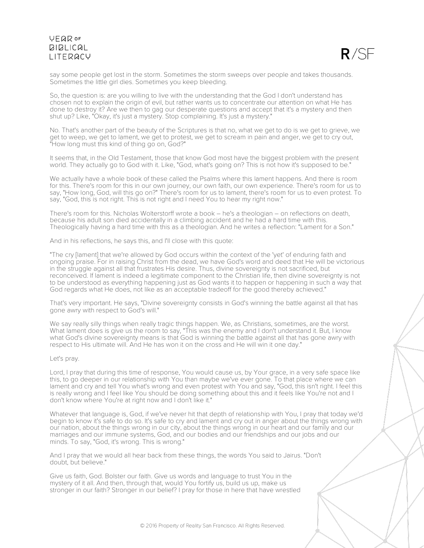

say some people get lost in the storm. Sometimes the storm sweeps over people and takes thousands. Sometimes the little girl dies. Sometimes you keep bleeding.

So, the question is: are you willing to live with the understanding that the God I don't understand has chosen not to explain the origin of evil, but rather wants us to concentrate our attention on what He has done to destroy it? Are we then to gag our desperate questions and accept that it's a mystery and then shut up? Like, "Okay, it's just a mystery. Stop complaining. It's just a mystery."

No. That's another part of the beauty of the Scriptures is that no, what we get to do is we get to grieve, we get to weep, we get to lament, we get to protest, we get to scream in pain and anger, we get to cry out, "How long must this kind of thing go on, God?"

It seems that, in the Old Testament, those that know God most have the biggest problem with the present world. They actually go to God with it. Like, "God, what's going on? This is not how it's supposed to be."

We actually have a whole book of these called the Psalms where this lament happens. And there is room for this. There's room for this in our own journey, our own faith, our own experience. There's room for us to say, "How long, God, will this go on?" There's room for us to lament, there's room for us to even protest. To say, "God, this is not right. This is not right and I need You to hear my right now."

There's room for this. Nicholas Wolterstorff wrote a book – he's a theologian – on reflections on death, because his adult son died accidentally in a climbing accident and he had a hard time with this. Theologically having a hard time with this as a theologian. And he writes a reflection: "Lament for a Son."

And in his reflections, he says this, and I'll close with this quote:

"The cry [lament] that we're allowed by God occurs within the context of the 'yet' of enduring faith and ongoing praise. For in raising Christ from the dead, we have God's word and deed that He will be victorious in the struggle against all that frustrates His desire. Thus, divine sovereignty is not sacrificed, but reconceived. If lament is indeed a legitimate component to the Christian life, then divine sovereignty is not to be understood as everything happening just as God wants it to happen or happening in such a way that God regards what He does, not like as an acceptable tradeoff for the good thereby achieved."

That's very important. He says, "Divine sovereignty consists in God's winning the battle against all that has gone awry with respect to God's will."

We say really silly things when really tragic things happen. We, as Christians, sometimes, are the worst. What lament does is give us the room to say, "This was the enemy and I don't understand it. But, I know what God's divine sovereignty means is that God is winning the battle against all that has gone awry with respect to His ultimate will. And He has won it on the cross and He will win it one day."

#### Let's pray.

Lord, I pray that during this time of response, You would cause us, by Your grace, in a very safe space like this, to go deeper in our relationship with You than maybe we've ever gone. To that place where we can lament and cry and tell You what's wrong and even protest with You and say, "God, this isn't right. I feel this is really wrong and I feel like You should be doing something about this and it feels like You're not and I don't know where You're at right now and I don't like it."

Whatever that language is, God, if we've never hit that depth of relationship with You, I pray that today we'd begin to know it's safe to do so. It's safe to cry and lament and cry out in anger about the things wrong with our nation, about the things wrong in our city, about the things wrong in our heart and our family and our marriages and our immune systems, God, and our bodies and our friendships and our jobs and our minds. To say, "God, it's wrong. This is wrong."

And I pray that we would all hear back from these things, the words You said to Jairus. "Don't doubt, but believe."

Give us faith, God. Bolster our faith. Give us words and language to trust You in the mystery of it all. And then, through that, would You fortify us, build us up, make us stronger in our faith? Stronger in our belief? I pray for those in here that have wrestled